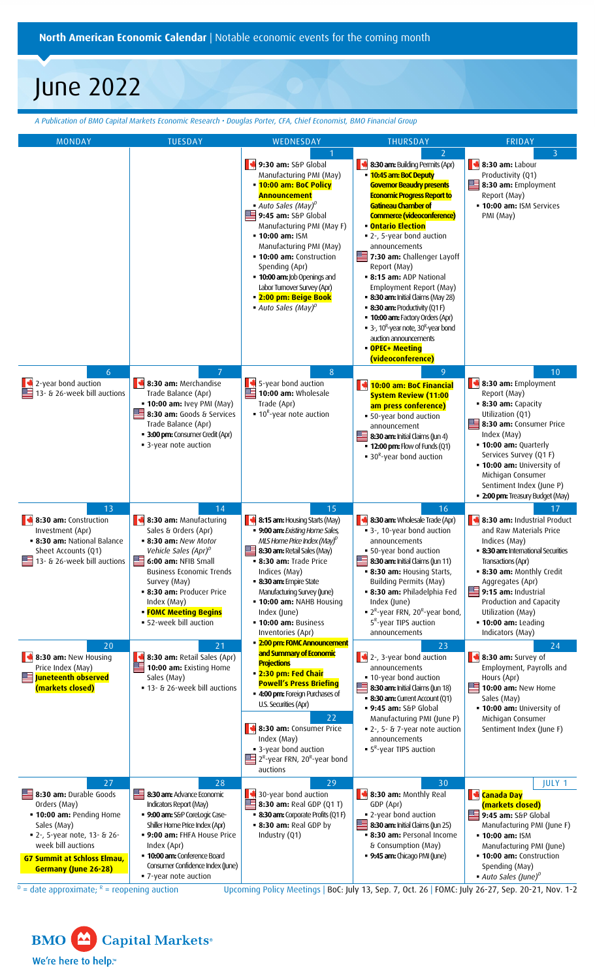**North American Economic Calendar** | Notable economic events for the coming month

# June 2022

*A Publication of BMO Capital Markets Economic Research • Douglas Porter, CFA, Chief Economist, BMO Financial Group*

| <b>MONDAY</b>                                                                                                                                      | <b>TUESDAY</b>                                                                                                                                                                                                                                                        | WEDNESDAY                                                                                                                                                                                                                                                                                                                                                                                                                                                              | THURSDAY                                                                                                                                                                                                                                                                                                                                                                                                                                                                                                                                                                                                                                                                              | FRIDAY                                                                                                                                                                                                                                                                                    |
|----------------------------------------------------------------------------------------------------------------------------------------------------|-----------------------------------------------------------------------------------------------------------------------------------------------------------------------------------------------------------------------------------------------------------------------|------------------------------------------------------------------------------------------------------------------------------------------------------------------------------------------------------------------------------------------------------------------------------------------------------------------------------------------------------------------------------------------------------------------------------------------------------------------------|---------------------------------------------------------------------------------------------------------------------------------------------------------------------------------------------------------------------------------------------------------------------------------------------------------------------------------------------------------------------------------------------------------------------------------------------------------------------------------------------------------------------------------------------------------------------------------------------------------------------------------------------------------------------------------------|-------------------------------------------------------------------------------------------------------------------------------------------------------------------------------------------------------------------------------------------------------------------------------------------|
|                                                                                                                                                    |                                                                                                                                                                                                                                                                       | 1<br>9:30 am: S&P Global<br>Manufacturing PMI (May)<br><b>.</b> 10:00 am: BoC Policy<br><b>Announcement</b><br>$\blacksquare$ Auto Sales (May) <sup>D</sup><br>9:45 am: S&P Global<br>Manufacturing PMI (May F)<br>• 10:00 am: ISM<br>Manufacturing PMI (May)<br><b>- 10:00 am:</b> Construction<br>Spending (Apr)<br><b>10:00 am:</b> Job Openings and<br>Labor Turnover Survey (Apr)<br><b>= 2:00 pm: Beige Book</b><br>$\blacksquare$ Auto Sales (May) <sup>0</sup> | $\overline{2}$<br>K<br>8:30 am: Building Permits (Apr)<br><b>10:45 am: BoC Deputy</b><br><b>Governor Beaudry presents</b><br><b>Economic Progress Report to</b><br>Gatineau Chamber of<br>Commerce (videoconference)<br><u>• Ontario Election</u><br>■ 2-, 5-year bond auction<br>announcements<br>▩▀<br>7:30 am: Challenger Layoff<br>Report (May)<br><b>8:15 am: ADP National</b><br>Employment Report (May)<br><b>8:30 am:</b> Initial Claims (May 28)<br>$-8:30$ am: Productivity (Q1 F)<br><b>- 10:00 am:</b> Factory Orders (Apr)<br>$\blacksquare$ 3-, 10 <sup>R</sup> -year note, 30 <sup>R</sup> -year bond<br>auction announcements<br>• OPEC+ Meeting<br>(videoconference) | $\overline{3}$<br>$\blacktriangleright$ 8:30 am: Labour<br>Productivity (Q1)<br>8:30 am: Employment<br>Report (May)<br><b>10:00 am: ISM Services</b><br>PMI (May)                                                                                                                         |
| $\boldsymbol{6}$<br>2-year bond auction                                                                                                            | 7<br>8:30 am: Merchandise                                                                                                                                                                                                                                             | $8\phantom{.}$<br>5-year bond auction<br>E.                                                                                                                                                                                                                                                                                                                                                                                                                            | 9<br><b>10:00 am: BoC Financial</b>                                                                                                                                                                                                                                                                                                                                                                                                                                                                                                                                                                                                                                                   | 10<br>8:30 am: Employment                                                                                                                                                                                                                                                                 |
| 13- & 26-week bill auctions                                                                                                                        | Trade Balance (Apr)<br><b>- 10:00 am: Ivey PMI (May)</b><br>8:30 am: Goods & Services<br>Trade Balance (Apr)<br><b>- 3:00 pm:</b> Consumer Credit (Apr)<br>• 3-year note auction                                                                                      | 10:00 am: Wholesale<br>Trade (Apr)<br>$\blacksquare$ 10 <sup>R</sup> -year note auction                                                                                                                                                                                                                                                                                                                                                                                | <b>System Review (11:00</b><br>am press conference)<br>• 50-year bond auction<br>announcement<br>8:30 am: Initial Claims (Jun 4)<br><b>- 12:00 pm:</b> Flow of Funds (Q1)<br>$\blacksquare$ 30 <sup>R</sup> -year bond auction                                                                                                                                                                                                                                                                                                                                                                                                                                                        | Report (May)<br>• 8:30 am: Capacity<br>Utilization (Q1)<br>8:30 am: Consumer Price<br>Index (May)<br><b>- 10:00 am: Quarterly</b><br>Services Survey (Q1 F)<br><b>- 10:00 am:</b> University of<br>Michigan Consumer<br>Sentiment Index (June P)<br><b>2:00 pm:</b> Treasury Budget (May) |
| 13<br>8:30 am: Construction                                                                                                                        | 14<br>8:30 am: Manufacturing                                                                                                                                                                                                                                          | 15<br>8:15 am: Housing Starts (May)                                                                                                                                                                                                                                                                                                                                                                                                                                    | 16<br>N<br>8:30 am: Wholesale Trade (Apr)                                                                                                                                                                                                                                                                                                                                                                                                                                                                                                                                                                                                                                             | 17<br>8:30 am: Industrial Product                                                                                                                                                                                                                                                         |
| Investment (Apr)<br>· 8:30 am: National Balance<br>Sheet Accounts (Q1)<br>13- & 26-week bill auctions                                              | Sales & Orders (Apr)<br><b>- 8:30 am: New Motor</b><br>Vehicle Sales (Apr) <sup>D</sup><br>6:00 am: NFIB Small<br>Business Economic Trends<br>Survey (May)<br><b>8:30 am: Producer Price</b><br>Index (May)<br><b>- FOMC Meeting Begins</b><br>• 52-week bill auction | <b>9:00 am:</b> Existing Home Sales,<br>MLS Home Price Index (May) <sup>0</sup><br>8:30 am: Retail Sales (May)<br><b>8:30 am:</b> Trade Price<br>Indices (May)<br><b>8:30 am:</b> Empire State<br>Manufacturing Survey (June)<br><b>- 10:00 am: NAHB Housing</b><br>Index (June)<br><b>10:00 am: Business</b><br>Inventories (Apr)                                                                                                                                     | ■ 3-, 10-year bond auction<br>announcements<br>• 50-year bond auction<br>▓≡<br>8:30 am: Initial Claims (Jun 11)<br><b>- 8:30 am: Housing Starts,</b><br><b>Building Permits (May)</b><br>· 8:30 am: Philadelphia Fed<br>Index (June)<br>$\blacksquare$ 2 <sup>R</sup> -year FRN, 20 <sup>R</sup> -year bond,<br>5 <sup>R</sup> -year TIPS auction<br>announcements                                                                                                                                                                                                                                                                                                                    | and Raw Materials Price<br>Indices (May)<br>• 8:30 am: International Securities<br>Transactions (Apr)<br><b>- 8:30 am: Monthly Credit</b><br>Aggregates (Apr)<br>9:15 am: Industrial<br>Production and Capacity<br>Utilization (May)<br><b>10:00 am: Leading</b><br>Indicators (May)      |
| 20<br>8:30 am: New Housing<br>Price Index (May)                                                                                                    | 21<br>8:30 am: Retail Sales (Apr)<br>10:00 am: Existing Home                                                                                                                                                                                                          | <b>- 2:00 pm: FOMC Announcement</b><br>and Summary of Economic<br><b>Projections</b>                                                                                                                                                                                                                                                                                                                                                                                   | 23<br>$\blacktriangleright$ 2-, 3-year bond auction<br>announcements                                                                                                                                                                                                                                                                                                                                                                                                                                                                                                                                                                                                                  | 24<br>$\parallel$ 8:30 am: Survey of<br>Employment, Payrolls and                                                                                                                                                                                                                          |
| ▓≣<br>Juneteenth observed<br>(markets closed)                                                                                                      | Sales (May)<br>■ 13- & 26-week bill auctions                                                                                                                                                                                                                          | <b>• 2:30 pm: Fed Chair</b><br><b>Powell's Press Briefing</b><br><b>4:00 pm:</b> Foreign Purchases of<br>U.S. Securities (Apr)<br>22                                                                                                                                                                                                                                                                                                                                   | • 10-year bond auction<br>≝<br>8:30 am: Initial Claims (Jun 18)<br>$-8:30$ am: Current Account (Q1)<br>• 9:45 am: S&P Global<br>Manufacturing PMI (June P)                                                                                                                                                                                                                                                                                                                                                                                                                                                                                                                            | Hours (Apr)<br>≋≡<br>10:00 am: New Home<br>Sales (May)<br>. 10:00 am: University of<br>Michigan Consumer                                                                                                                                                                                  |
|                                                                                                                                                    |                                                                                                                                                                                                                                                                       | 8:30 am: Consumer Price<br>Index (May)<br>• 3-year bond auction<br>$2R$ -year FRN, 20 <sup>R</sup> -year bond<br>auctions                                                                                                                                                                                                                                                                                                                                              | ■ 2-, 5- & 7-year note auction<br>announcements<br>• 5 <sup>R</sup> -year TIPS auction                                                                                                                                                                                                                                                                                                                                                                                                                                                                                                                                                                                                | Sentiment Index (June F)                                                                                                                                                                                                                                                                  |
| 27<br>8:30 am: Durable Goods                                                                                                                       | 28<br>8:30 am: Advance Economic                                                                                                                                                                                                                                       | 29<br>30-year bond auction                                                                                                                                                                                                                                                                                                                                                                                                                                             | 30<br>8:30 am: Monthly Real                                                                                                                                                                                                                                                                                                                                                                                                                                                                                                                                                                                                                                                           | JULY 1<br><b>Exploration Care Exploring Struth</b>                                                                                                                                                                                                                                        |
| Orders (May)<br><b>- 10:00 am: Pending Home</b>                                                                                                    | Indicators Report (May)<br><b>9:00 am:</b> S&P CoreLogic Case-                                                                                                                                                                                                        | <b>8:30 am:</b> Real GDP (Q1 T)<br>• 8:30 am: Corporate Profits (Q1 F)                                                                                                                                                                                                                                                                                                                                                                                                 | GDP (Apr)<br>" 2-year bond auction                                                                                                                                                                                                                                                                                                                                                                                                                                                                                                                                                                                                                                                    | (markets closed)<br>9:45 am: S&P Global                                                                                                                                                                                                                                                   |
| Sales (May)<br>■ 2-, 5-year note, 13- & 26-                                                                                                        | Shiller Home Price Index (Apr)<br>. 9:00 am: FHFA House Price                                                                                                                                                                                                         | <b>8:30 am: Real GDP by</b><br>Industry (Q1)                                                                                                                                                                                                                                                                                                                                                                                                                           | 8:30 am: Initial Claims (Jun 25)<br>• 8:30 am: Personal Income                                                                                                                                                                                                                                                                                                                                                                                                                                                                                                                                                                                                                        | Manufacturing PMI (June F)<br>• 10:00 am: ISM                                                                                                                                                                                                                                             |
| week bill auctions<br><b>G7 Summit at Schloss Elmau,</b><br><b>Germany (June 26-28)</b>                                                            | Index (Apr)<br><b>10:00 am:</b> Conference Board<br>Consumer Confidence Index (June)<br>• 7-year note auction                                                                                                                                                         |                                                                                                                                                                                                                                                                                                                                                                                                                                                                        | & Consumption (May)<br><b>9:45 am:</b> Chicago PMI (June)                                                                                                                                                                                                                                                                                                                                                                                                                                                                                                                                                                                                                             | Manufacturing PMI (June)<br><b>- 10:00 am:</b> Construction<br>Spending (May)<br>$\blacksquare$ Auto Sales (June) <sup>D</sup>                                                                                                                                                            |
| $=$ date approximate; $R =$ reopening auction<br>Upcoming Policy Meetings   BoC: July 13, Sep. 7, Oct. 26   FOMC: July 26-27, Sep. 20-21, Nov. 1-2 |                                                                                                                                                                                                                                                                       |                                                                                                                                                                                                                                                                                                                                                                                                                                                                        |                                                                                                                                                                                                                                                                                                                                                                                                                                                                                                                                                                                                                                                                                       |                                                                                                                                                                                                                                                                                           |